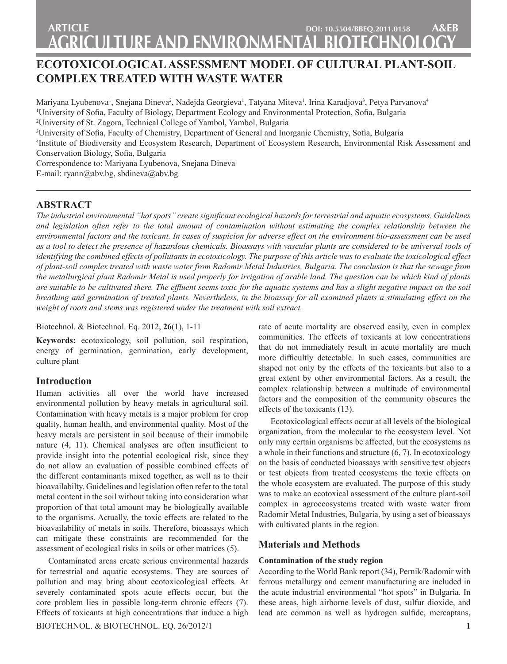# **Article DOI: 10.5504/bbeq.2011.0158 A&EB AGRICULTURE AND ENVIRONMENTAL BIOTECHNOLOGY**

## **ECOTOXICOLOGICAL ASSESSMENT MODEL OF CULTURAL PLANT-SOIL COMPLEX TREATED WITH WASTE WATER**

Mariyana Lyubenova<sup>1</sup>, Snejana Dineva<sup>2</sup>, Nadejda Georgieva<sup>1</sup>, Tatyana Miteva<sup>1</sup>, Irina Karadjova<sup>3</sup>, Petya Parvanova<sup>4</sup> 1 University of Sofia, Faculty of Biology, Department Ecology and Environmental Protection, Sofia, Bulgaria 2 University of St. Zagora, Technical College of Yambol, Yambol, Bulgaria 3 University of Sofia, Faculty of Chemistry, Department of General and Inorganic Chemistry, Sofia, Bulgaria 4 Institute of Biodiversity and Ecosystem Research, Department of Ecosystem Research, Environmental Risk Assessment and Conservation Biology, Sofia, Bulgaria Correspondence to: Mariyana Lyubenova, Snejana Dineva E-mail: ryann@abv.bg, sbdineva@abv.bg

## **ABSTRACT**

*The industrial environmental "hot spots" create significant ecological hazards for terrestrial and aquatic ecosystems. Guidelines and legislation often refer to the total amount of contamination without estimating the complex relationship between the environmental factors and the toxicant. In cases of suspicion for adverse effect on the environment bio-assessment can be used as a tool to detect the presence of hazardous chemicals. Bioassays with vascular plants are considered to be universal tools of identifying the combined effects of pollutants in ecotoxicology. The purpose of this article was to evaluate the toxicological effect of plant-soil complex treated with waste water from Radomir Metal Industries, Bulgaria. The conclusion is that the sewage from the metallurgical plant Radomir Metal is used properly for irrigation of arable land. The question can be which kind of plants are suitable to be cultivated there. The effluent seems toxic for the aquatic systems and has a slight negative impact on the soil breathing and germination of treated plants. Nevertheless, in the bioassay for all examined plants a stimulating effect on the weight of roots and stems was registered under the treatment with soil extract.* 

Biotechnol. & Biotechnol. Eq. 2012, **26**(1), 1-11

**Keywords:** ecotoxicology, soil pollution, soil respiration, energy of germination, germination, early development, culture plant

## **Introduction**

Human activities all over the world have increased environmental pollution by heavy metals in agricultural soil. Contamination with heavy metals is a major problem for crop quality, human health, and environmental quality. Most of the heavy metals are persistent in soil because of their immobile nature (4, 11). Chemical analyses are often insufficient to provide insight into the potential ecological risk, since they do not allow an evaluation of possible combined effects of the different contaminants mixed together, as well as to their bioavailabilty. Guidelines and legislation often refer to the total metal content in the soil without taking into consideration what proportion of that total amount may be biologically available to the organisms. Actually, the toxic effects are related to the bioavailability of metals in soils. Therefore, bioassays which can mitigate these constraints are recommended for the assessment of ecological risks in soils or other matrices (5).

Biotechnol. & Biotechnol. Eq. 26/2012/1 Contaminated areas create serious environmental hazards for terrestrial and aquatic ecosystems. They are sources of pollution and may bring about ecotoxicological effects. At severely contaminated spots acute effects occur, but the core problem lies in possible long-term chronic effects (7). Effects of toxicants at high concentrations that induce a high

rate of acute mortality are observed easily, even in complex communities. The effects of toxicants at low concentrations that do not immediately result in acute mortality are much more difficultly detectable. In such cases, communities are shaped not only by the effects of the toxicants but also to a great extent by other environmental factors. As a result, the complex relationship between a multitude of environmental factors and the composition of the community obscures the effects of the toxicants (13).

Ecotoxicological effects occur at all levels of the biological organization, from the molecular to the ecosystem level. Not only may certain organisms be affected, but the ecosystems as a whole in their functions and structure (6, 7). In ecotoxicology on the basis of conducted bioassays with sensitive test objects or test objects from treated ecosystems the toxic effects on the whole ecosystem are evaluated. The purpose of this study was to make an ecotoxical assessment of the culture plant-soil complex in agroecosystems treated with waste water from Radomir Metal Industries, Bulgaria, by using a set of bioassays with cultivated plants in the region.

## **Materials and Methods**

#### **Contamination of the study region**

According to the World Bank report (34), Pernik/Radomir with ferrous metallurgy and cement manufacturing are included in the acute industrial environmental "hot spots" in Bulgaria. In these areas, high airborne levels of dust, sulfur dioxide, and lead are common as well as hydrogen sulfide, mercaptans,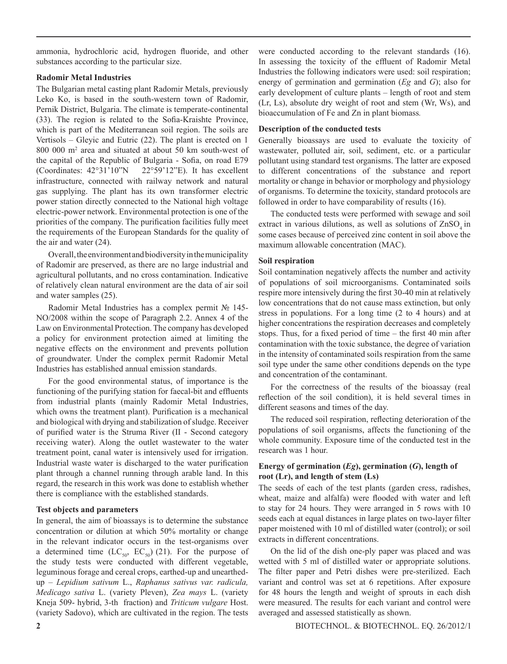ammonia, hydrochloric acid, hydrogen fluoride, and other substances according to the particular size.

#### **Radomir Metal Industries**

The Bulgarian metal casting plant Radomir Metals, previously Leko Ko, is based in the south-western town of Radomir, Pernik District, Bulgaria. The climate is temperate-continental (33). The region is related to the Sofia-Kraishte Province, which is part of the Mediterranean soil region. The soils are Vertisols – Gleyic and Eutric (22). The plant is erected on 1 800 000 m2 area and situated at about 50 km south-west of the capital of the Republic of Bulgaria - Sofia, on road Е79 (Coordinates: 42°31'10"N 22°59'12"E). It has excellent infrastructure, connected with railway network and natural gas supplying. The plant has its own transformer electric power station directly connected to the National high voltage electric-power network. Environmental protection is one of the priorities of the company. The purification facilities fully meet the requirements of the European Standards for the quality of the air and water (24).

Overall, the environment and biodiversity in the municipality of Radomir are preserved, as there are no large industrial and agricultural pollutants, and no cross contamination. Indicative of relatively clean natural environment are the data of air soil and water samples (25).

Radomir Metal Industries has a complex permit № 145- NO/2008 within the scope of Paragraph 2.2. Annex 4 of the Law on Environmental Protection. The company has developed a policy for environment protection aimed at limiting the negative effects on the environment and prevents pollution of groundwater. Under the complex permit Radomir Metal Industries has established annual emission standards.

For the good environmental status, of importance is the functioning of the purifying station for faecal-bit and effluents from industrial plants (mainly Radomir Metal Industries, which owns the treatment plant). Purification is a mechanical and biological with drying and stabilization of sludge. Receiver of purified water is the Struma River (II - Second category receiving water). Along the outlet wastewater to the water treatment point, canal water is intensively used for irrigation. Industrial waste water is discharged to the water purification plant through a channel running through arable land. In this regard, the research in this work was done to establish whether there is compliance with the established standards.

#### **Test objects and parameters**

In general, the aim of bioassays is to determine the substance concentration or dilution at which 50% mortality or change in the relevant indicator occurs in the test-organisms over a determined time  $(LC_{50}, EC_{50})$  (21). For the purpose of the study tests were conducted with different vegetable, leguminous forage and cereal crops, earthed-up and unearthedup – *Lepidium sativum* L., *Raphanus sativus var. radicula, Medicago sativa* L. (variety Pleven), *Zea mays* L. (variety Kneja 509- hybrid, 3-th fraction) and *Triticum vulgare* Host. (variety Sadovo), which are cultivated in the region. The tests

were conducted according to the relevant standards (16). In assessing the toxicity of the effluent of Radomir Metal Industries the following indicators were used: soil respiration; energy of germination and germination (*Eg* and *G*); also for early development of culture plants – length of root and stem (Lr, Ls), absolute dry weight of root and stem (Wr, Ws), and bioaccumulation of Fe and Zn in plant biomass*.*

#### **Description of the conducted tests**

Generally bioassays are used to evaluate the toxicity of wastewater, polluted air, soil, sediment, etc. or a particular pollutant using standard test organisms. The latter are exposed to different concentrations of the substance and report mortality or change in behavior or morphology and physiology of organisms. To determine the toxicity, standard protocols are followed in order to have comparability of results (16).

The conducted tests were performed with sewage and soil extract in various dilutions, as well as solutions of  $ZnSO<sub>4</sub>$  in some cases because of perceived zinc content in soil above the maximum allowable concentration (MAC).

#### **Soil respiration**

Soil contamination negatively affects the number and activity of populations of soil microorganisms. Contaminated soils respire more intensively during the first 30-40 min at relatively low concentrations that do not cause mass extinction, but only stress in populations. For a long time (2 to 4 hours) and at higher concentrations the respiration decreases and completely stops. Thus, for a fixed period of time – the first 40 min after contamination with the toxic substance, the degree of variation in the intensity of contaminated soils respiration from the same soil type under the same other conditions depends on the type and concentration of the contaminant.

For the correctness of the results of the bioassay (real reflection of the soil condition), it is held several times in different seasons and times of the day.

The reduced soil respiration, reflecting deterioration of the populations of soil organisms, affects the functioning of the whole community. Exposure time of the conducted test in the research was 1 hour.

#### **Energy of germination (***Eg***), germination (***G***), length of root (Lr), and length of stem (Ls)**

The seeds of each of the test plants (garden cress, radishes, wheat, maize and alfalfa) were flooded with water and left to stay for 24 hours. They were arranged in 5 rows with 10 seeds each at equal distances in large plates on two-layer filter paper moistened with 10 ml of distilled water (control); or soil extracts in different concentrations.

On the lid of the dish one-ply paper was placed and was wetted with 5 ml of distilled water or appropriate solutions. The filter paper and Petri dishes were pre-sterilized. Each variant and control was set at 6 repetitions. After exposure for 48 hours the length and weight of sprouts in each dish were measured. The results for each variant and control were averaged and assessed statistically as shown.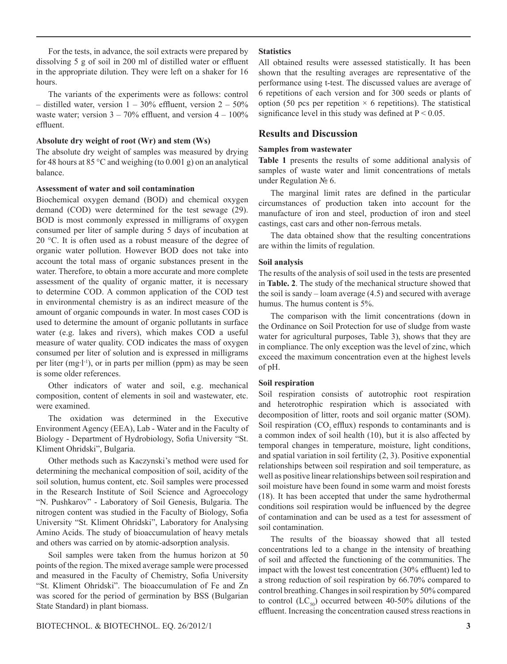For the tests, in advance, the soil extracts were prepared by dissolving 5 g of soil in 200 ml of distilled water or effluent in the appropriate dilution. They were left on a shaker for 16 hours.

The variants of the experiments were as follows: control – distilled water, version  $1 - 30\%$  effluent, version  $2 - 50\%$ waste water; version  $3 - 70\%$  effluent, and version  $4 - 100\%$ effluent.

#### **Absolute dry weight of root (Wr) and stem (Ws)**

The absolute dry weight of samples was measured by drying for 48 hours at 85 °C and weighing (to 0.001 g) on an analytical balance.

#### **Assessment of water and soil contamination**

Biochemical oxygen demand (BOD) and chemical oxygen demand (COD) were determined for the test sewage (29). BOD is most commonly expressed in milligrams of oxygen consumed per liter of sample during 5 days of incubation at 20 °C. It is often used as a robust measure of the degree of organic water pollution. However BOD does not take into account the total mass of organic substances present in the water. Therefore, to obtain a more accurate and more complete assessment of the quality of organic matter, it is necessary to determine COD. A common application of the COD test in environmental chemistry is as an indirect measure of the amount of organic compounds in water. In most cases COD is used to determine the amount of organic pollutants in surface water (e.g. lakes and rivers), which makes COD a useful measure of water quality. COD indicates the mass of oxygen consumed per liter of solution and is expressed in milligrams per liter (mg∙l-1), or in parts per million (ppm) as may be seen is some older references.

Other indicators of water and soil, e.g. mechanical composition, content of elements in soil and wastewater, etc. were examined.

The oxidation was determined in the Executive Environment Agency (EEA), Lab - Water and in the Faculty of Biology - Department of Hydrobiology, Sofia University "St. Kliment Ohridski", Bulgaria.

Other methods such as Kaczynski's method were used for determining the mechanical composition of soil, acidity of the soil solution, humus content, etc. Soil samples were processed in the Research Institute of Soil Science and Agroecology "N. Pushkarov" - Laboratory of Soil Genesis, Bulgaria. The nitrogen content was studied in the Faculty of Biology, Sofia University "St. Kliment Ohridski", Laboratory for Analysing Amino Acids. The study of bioaccumulation of heavy metals and others was carried on by atomic-adsorption analysis.

Soil samples were taken from the humus horizon at 50 points of the region. The mixed average sample were processed and measured in the Faculty of Chemistry, Sofia University "St. Kliment Ohridski". The bioaccumulation of Fe and Zn was scored for the period of germination by BSS (Bulgarian State Standard) in plant biomass.

#### **Statistics**

All obtained results were assessed statistically. It has been shown that the resulting averages are representative of the performance using t-test. The discussed values are average of 6 repetitions of each version and for 300 seeds or plants of option (50 pcs per repetition  $\times$  6 repetitions). The statistical significance level in this study was defined at  $P < 0.05$ .

### **Results and Discussion**

#### **Samples from wastewater**

**Table 1** presents the results of some additional analysis of samples of waste water and limit concentrations of metals under Regulation № 6.

The marginal limit rates are defined in the particular circumstances of production taken into account for the manufacture of iron and steel, production of iron and steel castings, cast cars and other non-ferrous metals.

The data obtained show that the resulting concentrations are within the limits of regulation.

#### **Soil analysis**

The results of the analysis of soil used in the tests are presented in **Table. 2**. The study of the mechanical structure showed that the soil is sandy – loam average (4.5) and secured with average humus. The humus content is 5%.

The comparison with the limit concentrations (down in the Ordinance on Soil Protection for use of sludge from waste water for agricultural purposes, Table 3), shows that they are in compliance. The only exception was the level of zinc, which exceed the maximum concentration even at the highest levels of pH.

#### **Soil respiration**

Soil respiration consists of autotrophic root respiration and heterotrophic respiration which is associated with decomposition of litter, roots and soil organic matter (SOM). Soil respiration  $(CO, efflux)$  responds to contaminants and is a common index of soil health (10), but it is also affected by temporal changes in temperature, moisture, light conditions, and spatial variation in soil fertility (2, 3). Positive exponential relationships between soil respiration and soil temperature, as well as positive linear relationships between soil respiration and soil moisture have been found in some warm and moist forests (18). It has been accepted that under the same hydrothermal conditions soil respiration would be influenced by the degree of contamination and can be used as a test for assessment of soil contamination.

The results of the bioassay showed that all tested concentrations led to a change in the intensity of breathing of soil and affected the functioning of the communities. The impact with the lowest test concentration (30% effluent) led to a strong reduction of soil respiration by 66.70% compared to control breathing. Changes in soil respiration by 50% compared to control  $(LC_{50})$  occurred between 40-50% dilutions of the effluent. Increasing the concentration caused stress reactions in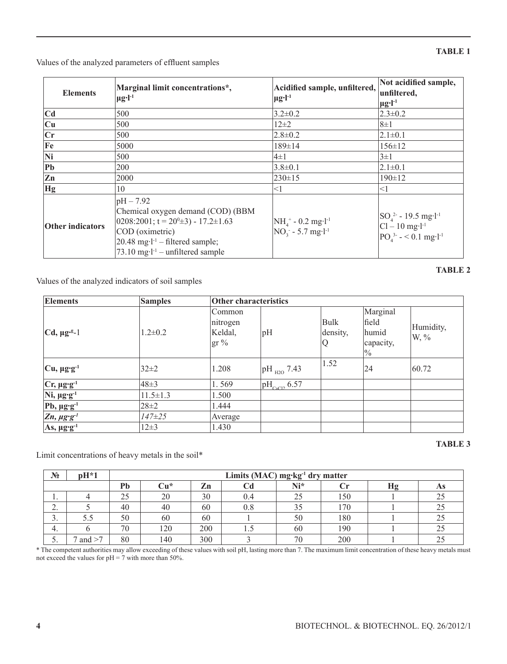Values of the analyzed parameters of effluent samples

| <b>Elements</b>         | Marginal limit concentrations*,<br>$\mu$ g·l <sup>-1</sup>                                                                                                                                                                    | Acidified sample, unfiltered,<br>$ \mu g \cdot l^{-1} $ | Not acidified sample,<br>unfiltered,<br>$\mu$ g·l <sup>-1</sup>                                            |
|-------------------------|-------------------------------------------------------------------------------------------------------------------------------------------------------------------------------------------------------------------------------|---------------------------------------------------------|------------------------------------------------------------------------------------------------------------|
| <b>Cd</b>               | 500                                                                                                                                                                                                                           | $3.2 \pm 0.2$                                           | $2.3 \pm 0.2$                                                                                              |
| Cu                      | 500                                                                                                                                                                                                                           | $12\pm 2$                                               | $8\pm1$                                                                                                    |
| Cr                      | 500                                                                                                                                                                                                                           | $2.8 \pm 0.2$                                           | $2.1 \pm 0.1$                                                                                              |
| Fe                      | 5000                                                                                                                                                                                                                          | $189 \pm 14$                                            | $156 \pm 12$                                                                                               |
| Ni                      | 500                                                                                                                                                                                                                           | $4\pm1$                                                 | $3\pm1$                                                                                                    |
| Pb                      | 200                                                                                                                                                                                                                           | $3.8 \pm 0.1$                                           | $2.1 \pm 0.1$                                                                                              |
| Zn                      | 2000                                                                                                                                                                                                                          | $ 230 \pm 15$                                           | $190 \pm 12$                                                                                               |
| Hg                      | 10                                                                                                                                                                                                                            | <1                                                      | $\leq$ 1                                                                                                   |
| <b>Other indicators</b> | $ pH - 7.92 $<br>Chemical oxygen demand (COD) (BBM<br>$[0208:2001; t = 200\pm 3) - 17.2 \pm 1.63$<br>COD (oximetric)<br>$[20.48 \text{ mg·l}^{-1} - \text{filtered sample}$ ;<br>$[73.10 \text{ mg-l}-1 - unfiltered sample]$ | $NH_4^+$ - 0.2 mg·l <sup>-1</sup><br>$NO3 - 5.7 mg·l-1$ | $ SO_4^2 - 19.5$ mg·l <sup>-1</sup><br>$ Cl - 10$ mg·l <sup>-1</sup><br>$ PO_4^3 - 0.1$ mg·l <sup>-1</sup> |

Values of the analyzed indicators of soil samples

| <b>Elements</b>                                                   | <b>Samples</b> | Other characteristics                |                        |                                |                                                          |                   |
|-------------------------------------------------------------------|----------------|--------------------------------------|------------------------|--------------------------------|----------------------------------------------------------|-------------------|
| $ Cd, \mu g^{-1} $                                                | $1.2 \pm 0.2$  | Common<br>nitrogen<br>Keldal,<br>gr% | pH                     | Bulk<br>density,<br>$ {\rm Q}$ | Marginal<br>field<br>humid<br>capacity,<br>$\frac{0}{6}$ | Humidity,<br>W, % |
| $ Cu, \mu g \cdot g^{-1} $                                        | $32\pm2$       | 1.208                                | pH <sub>H2O</sub> 7.43 | 1.52                           | 24                                                       | 60.72             |
| $ Cr, \mu g \cdot g^{-1} $                                        | $48\pm3$       | 1.569                                | $pH_{CaCD}$ 6.57       |                                |                                                          |                   |
| Ni, $\mu$ g·g <sup>-1</sup>                                       | $11.5 \pm 1.3$ | 1.500                                |                        |                                |                                                          |                   |
| Pb, $\mu$ g·g <sup>-1</sup>                                       | $28\pm 2$      | l.444                                |                        |                                |                                                          |                   |
| $\left  \mathbf{Zn}, \mu \mathbf{g} \cdot \mathbf{g} \right ^{T}$ | $147 + 25$     | Average                              |                        |                                |                                                          |                   |
| $As, \mu g \cdot g^{-1}$                                          | $12\pm3$       | 1.430                                |                        |                                |                                                          |                   |

Limit concentrations of heavy metals in the soil\*

| $N_2$              | $pH*1$   | Limits (MAC) mg·kg <sup>-1</sup> dry matter |       |     |     |     |     |    |    |
|--------------------|----------|---------------------------------------------|-------|-----|-----|-----|-----|----|----|
|                    |          | <b>Pb</b>                                   | $Cu*$ | Zn  | Cd  | Ni* | Сr  | Нg |    |
| $\cdot$            |          | 25                                          | 20    | 30  | 0.4 |     | 150 |    |    |
| $\sim$<br><u>.</u> |          | 40                                          | 40    | 60  | 0.8 |     | 170 |    |    |
| ⌒<br>J.            | 5.5      | 50                                          | 60    | 60  |     | 50  | 180 |    |    |
| 4.                 |          | 70                                          | 120   | 200 |     | 60  | 190 |    |    |
| ◡                  | and $>7$ | 80                                          | 140   | 300 |     | 70  | 200 |    | 25 |

\* The competent authorities may allow exceeding of these values with soil pH, lasting more than 7. The maximum limit concentration of these heavy metals must not exceed the values for pH = 7 with more than 50%.

#### **TABLE 2**

## **TABLE 3**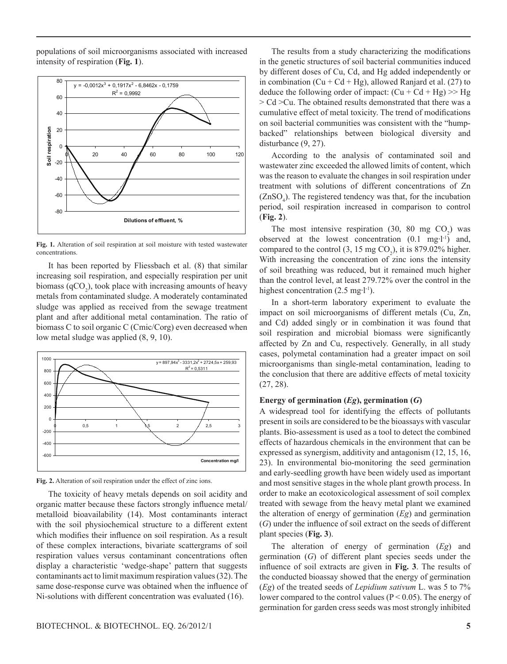populations of soil microorganisms associated with increased intensity of respiration (**Fig. 1**).



**Fig. 1.** Alteration of soil respiration at soil moisture with tested wastewater concentrations.

It has been reported by Fliessbach et al. (8) that similar increasing soil respiration, and especially respiration per unit biomass  $(qCO<sub>2</sub>)$ , took place with increasing amounts of heavy metals from contaminated sludge. A moderately contaminated sludge was applied as received from the sewage treatment plant and after additional metal contamination. The ratio of biomass C to soil organic C (Cmic/Corg) even decreased when low metal sludge was applied (8, 9, 10).



**Fig. 2.** Alteration of soil respiration under the effect of zinc ions.

The toxicity of heavy metals depends on soil acidity and organic matter because these factors strongly influence metal/ metalloid bioavailability (14). Most contaminants interact with the soil physiochemical structure to a different extent which modifies their influence on soil respiration. As a result of these complex interactions, bivariate scattergrams of soil respiration values versus contaminant concentrations often display a characteristic 'wedge-shape' pattern that suggests contaminants act to limit maximum respiration values (32). The same dose-response curve was obtained when the influence of Ni-solutions with different concentration was evaluated (16).

The results from a study characterizing the modifications in the genetic structures of soil bacterial communities induced by different doses of Cu, Cd, and Hg added independently or in combination  $(Cu + Cd + Hg)$ , allowed Ranjard et al. (27) to deduce the following order of impact:  $(Cu + Cd + Hg) \gg Hg$ > Cd >Cu. The obtained results demonstrated that there was a cumulative effect of metal toxicity. The trend of modifications on soil bacterial communities was consistent with the "humpbacked" relationships between biological diversity and disturbance (9, 27).

According to the analysis of contaminated soil and wastewater zinc exceeded the allowed limits of content, which was the reason to evaluate the changes in soil respiration under treatment with solutions of different concentrations of Zn  $(ZnSO<sub>4</sub>)$ . The registered tendency was that, for the incubation period, soil respiration increased in comparison to control (**Fig. 2**).

The most intensive respiration (30, 80 mg  $CO<sub>2</sub>$ ) was observed at the lowest concentration (0.1 mg∙l-1) and, compared to the control  $(3, 15 \text{ mg } CO_2)$ , it is 879.02% higher. With increasing the concentration of zinc ions the intensity of soil breathing was reduced, but it remained much higher than the control level, at least 279.72% over the control in the highest concentration  $(2.5 \text{ mg} \cdot l^{-1})$ .

In a short-term laboratory experiment to evaluate the impact on soil microorganisms of different metals (Cu, Zn, and Cd) added singly or in combination it was found that soil respiration and microbial biomass were significantly affected by Zn and Cu, respectively. Generally, in all study cases, polymetal contamination had a greater impact on soil microorganisms than single-metal contamination, leading to the conclusion that there are additive effects of metal toxicity (27, 28).

#### **Energy of germination**  $(Eg)$ **, germination**  $(G)$

A widespread tool for identifying the effects of pollutants present in soils are considered to be the bioassays with vascular plants. Bio-assessment is used as a tool to detect the combined effects of hazardous chemicals in the environment that can be expressed as synergism, additivity and antagonism (12, 15, 16, 23). In environmental bio-monitoring the seed germination and early-seedling growth have been widely used as important and most sensitive stages in the whole plant growth process. In order to make an ecotoxicological assessment of soil complex treated with sewage from the heavy metal plant we examined the alteration of energy of germination (*Eg*) and germination (*G*) under the influence of soil extract on the seeds of different plant species (**Fig. 3**).

The alteration of energy of germination (*Eg*) and germination (*G*) of different plant species seeds under the influence of soil extracts are given in **Fig. 3**. The results of the conducted bioassay showed that the energy of germination (*Eg*) of the treated seeds of *Lepidium sativum* L. was 5 to 7% lower compared to the control values ( $P < 0.05$ ). The energy of germination for garden cress seeds was most strongly inhibited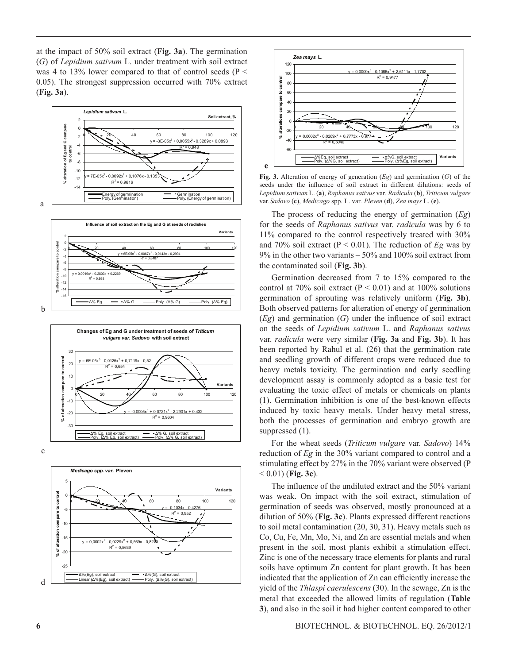at the impact of 50% soil extract (**Fig. 3a**). The germination (*G*) of *Lepidium sativum* L. under treatment with soil extract was 4 to 13% lower compared to that of control seeds ( $P \leq$ 0.05). The strongest suppression occurred with 70% extract (**Fig. 3a**).





**Changes of Eg and G under treatment of seeds of** *Triticum vulgare var. Sadovo* **with soil extract** 30 **% of alteration compare to control**  $y = 6E - 05x^3 - 0,0125x^2 + 0,7119x - 0,52$  $\overline{2}$  $R^2 = 0,654$ compare to 10 **Variants**  $\overline{0}$  $\phi$  20 40 60 80 100 120 ation -10 % of alter  $-20$  $y = -0,0005x^3$  $+$  0,0721x<sup>2</sup> - 2,2901x + 0,432  $R^2 = 0,9604$ -30 Δ% Eg, soil extract Δ% G, soil extract Poly. (Δ% Eg, soil extract) Poly. (Δ% G, soil extract)

c





**Fig. 3.** Alteration of energy of generation (*Eg*) and germination (*G*) of the seeds under the influence of soil extract in different dilutions: seeds of *Lepidium sativum* L. (**a**), *Raphanus sativus* var*. Radicula* (**b**), *Triticum vulgare*  var*.Sadovo* (**c**), *Medicago* spp. L. var*. Pleven* (**d**), *Zea mays* L. (**e**).

The process of reducing the energy of germination (*Eg*) for the seeds of *Raphanus sativus* var. *radicula* was by 6 to 11% compared to the control respectively treated with 30% and 70% soil extract ( $P < 0.01$ ). The reduction of *Eg* was by 9% in the other two variants – 50% and 100% soil extract from the contaminated soil (**Fig. 3b**).

Germination decreased from 7 to 15% compared to the control at 70% soil extract ( $P < 0.01$ ) and at 100% solutions germination of sprouting was relatively uniform (**Fig. 3b**). Both observed patterns for alteration of energy of germination (*Eg*) and germination (*G*) under the influence of soil extract on the seeds of *Lepidium sativum* L. and *Raphanus sativus*  var. *radicula* were very similar (**Fig. 3a** and **Fig. 3b**). It has been reported by Rahul et al. (26) that the germination rate and seedling growth of different crops were reduced due to heavy metals toxicity. The germination and early seedling development assay is commonly adopted as a basic test for evaluating the toxic effect of metals or chemicals on plants (1). Germination inhibition is one of the best-known effects induced by toxic heavy metals. Under heavy metal stress, both the processes of germination and embryo growth are suppressed  $(1)$ .

For the wheat seeds (*Triticum vulgare* var. *Sadovo*) 14% reduction of *Eg* in the 30% variant compared to control and a stimulating effect by 27% in the 70% variant were observed (P < 0.01) (**Fig. 3c**).

The influence of the undiluted extract and the 50% variant was weak. On impact with the soil extract, stimulation of germination of seeds was observed, mostly pronounced at a dilution of 50% (**Fig. 3c**). Plants expressed different reactions to soil metal contamination (20, 30, 31). Heavy metals such as Co, Cu, Fe, Mn, Mo, Ni, and Zn are essential metals and when present in the soil, most plants exhibit a stimulation effect. Zinc is one of the necessary trace elements for plants and rural soils have optimum Zn content for plant growth. It has been indicated that the application of Zn can efficiently increase the yield of the *Thlaspi caerulescens* (30). In the sewage, Zn is the metal that exceeded the allowed limits of regulation (**Table 3**), and also in the soil it had higher content compared to other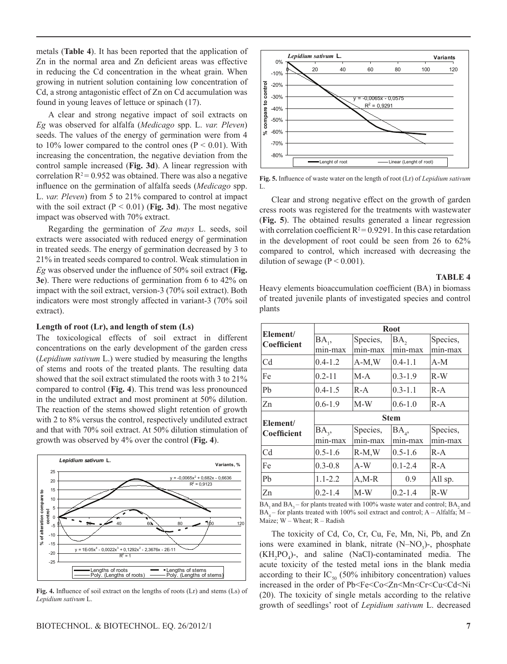metals (**Table 4**). It has been reported that the application of Zn in the normal area and Zn deficient areas was effective in reducing the Cd concentration in the wheat grain. When growing in nutrient solution containing low concentration of Cd, a strong antagonistic effect of Zn on Cd accumulation was found in young leaves of lettuce or spinach (17).

A clear and strong negative impact of soil extracts on *Eg* was observed for alfalfa (*Medicago* spp. L. *var. Pleven*) seeds. The values of the energy of germination were from 4 to 10% lower compared to the control ones ( $P < 0.01$ ). With increasing the concentration, the negative deviation from the control sample increased (**Fig. 3d**). A linear regression with correlation  $R^2$  = 0.952 was obtained. There was also a negative influence on the germination of alfalfa seeds (*Medicago* spp. L. *var. Pleven*) from 5 to 21% compared to control at impact with the soil extract  $(P < 0.01)$  (Fig. 3d). The most negative impact was observed with 70% extract.

Regarding the germination of *Zea mays* L. seeds, soil extracts were associated with reduced energy of germination in treated seeds. The energy of germination decreased by 3 to 21% in treated seeds compared to control. Weak stimulation in *Eg* was observed under the influence of 50% soil extract (**Fig. 3e**). There were reductions of germination from 6 to 42% on impact with the soil extract, version-3 (70% soil extract). Both indicators were most strongly affected in variant-3 (70% soil extract).

#### **Length of root (Lr), and length of stem (Ls)**

The toxicological effects of soil extract in different concentrations on the early development of the garden cress (*Lepidium sativum* L.) were studied by measuring the lengths of stems and roots of the treated plants. The resulting data showed that the soil extract stimulated the roots with 3 to 21% compared to control (**Fig. 4**). This trend was less pronounced in the undiluted extract and most prominent at 50% dilution. The reaction of the stems showed slight retention of growth with 2 to 8% versus the control, respectively undiluted extract and that with 70% soil extract. At 50% dilution stimulation of growth was observed by 4% over the control (**Fig. 4**).



**Fig. 4.** Influence of soil extract on the lengths of roots (Lr) and stems (Ls) of *Lepidium sativum* L.



**Fig. 5.** Influence of waste water on the length of root (Lr) of *Lepidium sativum* L.

Clear and strong negative effect on the growth of garden cress roots was registered for the treatments with wastewater (**Fig. 5**). The obtained results generated a linear regression with correlation coefficient  $R^2$  = 0.9291. In this case retardation in the development of root could be seen from 26 to 62% compared to control, which increased with decreasing the dilution of sewage ( $P \le 0.001$ ).

#### **TABLE 4**

Heavy elements bioaccumulation coefficient (BA) in biomass of treated juvenile plants of investigated species and control plants

| Element/    | <b>Root</b> |          |                 |          |  |  |  |  |
|-------------|-------------|----------|-----------------|----------|--|--|--|--|
| Coefficient | $BA_1$      | Species, | BA <sub>2</sub> | Species, |  |  |  |  |
|             | min-max     | min-max  | $min-max$       | min-max  |  |  |  |  |
| Cd          | $0.4 - 1.2$ | $A-M,W$  | $0.4 - 1.1$     | $A-M$    |  |  |  |  |
| Fe          | $0.2 - 11$  | M-A      | $0.3 - 1.9$     | $R-W$    |  |  |  |  |
| Pb          | $0.4 - 1.5$ | $R-A$    | $0.3 - 1.1$     | $R-A$    |  |  |  |  |
| Zn          | $0.6 - 1.9$ | M-W      | $ 0.6 - 1.0$    | R-A      |  |  |  |  |
| Element/    | <b>Stem</b> |          |                 |          |  |  |  |  |
| Coefficient | $BA_{3}$    | Species, | $BA_4$          | Species, |  |  |  |  |
|             | min-max     | min-max  | $min-max$       | min-max  |  |  |  |  |
| Cd          | $0.5 - 1.6$ | $R-M,W$  | $0.5 - 1.6$     | $R-A$    |  |  |  |  |
| Fe          | $0.3 - 0.8$ | A-W      | $0.1 - 2.4$     | $R-A$    |  |  |  |  |
| Pb          | $1.1 - 2.2$ | A,M-R    | 0.9             | All sp.  |  |  |  |  |
| Zn          | $0.2 - 1.4$ | M-W      | $0.2 - 1.4$     | $R-W$    |  |  |  |  |

 $BA<sub>1</sub>$  and  $BA<sub>2</sub>$  – for plants treated with 100% waste water and control;  $BA<sub>2</sub>$  and  $BA<sub>4</sub>$  – for plants treated with 100% soil extract and control; A – Alfalfa; M – Maize; W – Wheat; R – Radish

The toxicity of Cd, Co, Cr, Cu, Fe, Mn, Ni, Pb, and Zn ions were examined in blank, nitrate  $(N-NO<sub>3</sub>)$ -, phosphate  $(KH_2PO_4)$ -, and saline (NaCl)-contaminated media. The acute toxicity of the tested metal ions in the blank media according to their  $IC_{50}$  (50% inhibitory concentration) values increased in the order of Pb<Fe<Co<Zn<Mn<Cr<Cu<Cd<Ni (20). The toxicity of single metals according to the relative growth of seedlings' root of *Lepidium sativum* L. decreased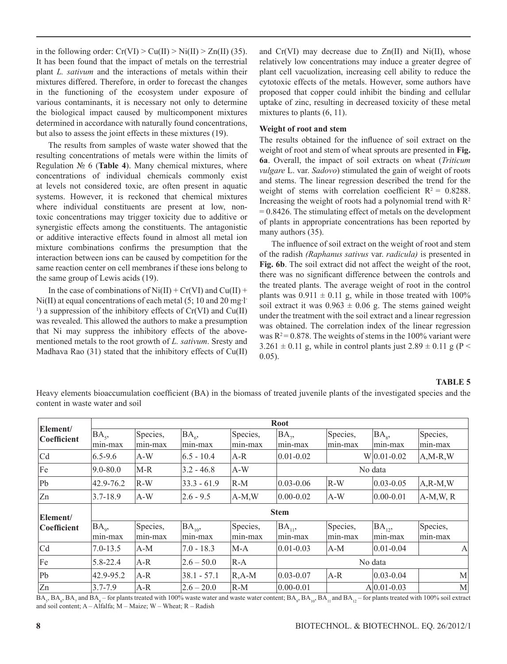in the following order:  $Cr(VI) > Cu(II) > Ni(II) > Zn(II)$  (35). It has been found that the impact of metals on the terrestrial plant *L. sativum* and the interactions of metals within their mixtures differed. Therefore, in order to forecast the changes in the functioning of the ecosystem under exposure of various contaminants, it is necessary not only to determine the biological impact caused by multicomponent mixtures determined in accordance with naturally found concentrations, but also to assess the joint effects in these mixtures (19).

The results from samples of waste water showed that the resulting concentrations of metals were within the limits of Regulation № 6 (**Table 4**). Many chemical mixtures, where concentrations of individual chemicals commonly exist at levels not considered toxic, are often present in aquatic systems. However, it is reckoned that chemical mixtures where individual constituents are present at low, nontoxic concentrations may trigger toxicity due to additive or synergistic effects among the constituents. The antagonistic or additive interactive effects found in almost all metal ion mixture combinations confirms the presumption that the interaction between ions can be caused by competition for the same reaction center on cell membranes if these ions belong to the same group of Lewis acids (19).

In the case of combinations of  $Ni(II) + Cr(VI)$  and  $Cu(II)$  + Ni(II) at equal concentrations of each metal (5; 10 and 20 mg⋅l-<sup>1</sup>) a suppression of the inhibitory effects of  $Cr(VI)$  and  $Cu(II)$ was revealed. This allowed the authors to make a presumption that Ni may suppress the inhibitory effects of the abovementioned metals to the root growth of *L. sativum*. Sresty and Madhava Rao (31) stated that the inhibitory effects of Cu(II)

and  $Cr(VI)$  may decrease due to  $Zn(II)$  and  $Ni(II)$ , whose relatively low concentrations may induce a greater degree of plant cell vacuolization, increasing cell ability to reduce the cytotoxic effects of the metals. However, some authors have proposed that copper could inhibit the binding and cellular uptake of zinc, resulting in decreased toxicity of these metal mixtures to plants  $(6, 11)$ .

#### **Weight of root and stem**

The results obtained for the influence of soil extract on the weight of root and stem of wheat sprouts are presented in **Fig. 6a**. Overall, the impact of soil extracts on wheat (*Triticum vulgare* L. var. *Sadovo*) stimulated the gain of weight of roots and stems. The linear regression described the trend for the weight of stems with correlation coefficient  $R^2 = 0.8288$ . Increasing the weight of roots had a polynomial trend with  $R^2$  $= 0.8426$ . The stimulating effect of metals on the development of plants in appropriate concentrations has been reported by many authors (35).

The influence of soil extract on the weight of root and stem of the radish *(Raphanus sativus* var. *radicula)* is presented in **Fig. 6b**. The soil extract did not affect the weight of the root, there was no significant difference between the controls and the treated plants. The average weight of root in the control plants was  $0.911 \pm 0.11$  g, while in those treated with  $100\%$ soil extract it was  $0.963 \pm 0.06$  g. The stems gained weight under the treatment with the soil extract and a linear regression was obtained. The correlation index of the linear regression was  $R^2$  = 0.878. The weights of stems in the 100% variant were  $3.261 \pm 0.11$  g, while in control plants just  $2.89 \pm 0.11$  g (P < 0.05).

#### **TABLE 5**

Heavy elements bioaccumulation coefficient (BA) in the biomass of treated juvenile plants of the investigated species and the content in waste water and soil

|                         |                  | <b>Root</b> |                 |          |                 |          |                 |             |  |  |
|-------------------------|------------------|-------------|-----------------|----------|-----------------|----------|-----------------|-------------|--|--|
| Element/<br>Coefficient | $BA_{\varsigma}$ | Species,    | $BA_{\beta}$    | Species, | $BA_{7}$        | Species, | BA <sub>8</sub> | Species,    |  |  |
|                         | min-max          | min-max     | min-max         | min-max  | min-max         | min-max  | min-max         | min-max     |  |  |
| $ C_d $                 | $6.5 - 9.6$      | lA-W        | $ 6.5 - 10.4 $  | $A-R$    | $ 0.01 - 0.02 $ |          | $W 0.01-0.02$   | $A, M-R, W$ |  |  |
| Fe                      | $9.0 - 80.0$     | $M-R$       | $ 3.2 - 46.8 $  | $A-W$    | No data         |          |                 |             |  |  |
| Pb                      | 42.9-76.2        | $R-W$       | $ 33.3 - 61.9 $ | $R-M$    | $ 0.03 - 0.06 $ | $R-W$    | $ 0.03 - 0.05$  | $A, R-M, W$ |  |  |
| Zn                      | $3.7 - 18.9$     | lA-W        | $ 2.6 - 9.5 $   | $A-M,W$  | $ 0.00 - 0.02 $ | $A-W$    | $ 0.00 - 0.01$  | $A-M,W, R$  |  |  |
| Element/                |                  | <b>Stem</b> |                 |          |                 |          |                 |             |  |  |
| Coefficient             | $BA_{\alpha}$    | Species,    | $ BA_{10}$      | Species, | $BA_{11}$       | Species, | $ BA_{12}$      | Species,    |  |  |
|                         | min-max          | min-max     | min-max         | min-max  | min-max         | min-max  | min-max         | min-max     |  |  |
| Cd                      | $7.0 - 13.5$     | A-M         | $ 7.0 - 18.3 $  | M-A      | $ 0.01 - 0.03$  | $A-M$    | $ 0.01 - 0.04 $ | A           |  |  |
| Fe                      | 5.8-22.4         | $A-R$       | $ 2.6 - 50.0 $  | $R-A$    | No data         |          |                 |             |  |  |
| Pb                      | 42.9-95.2        | $A-R$       | $ 38.1 - 57.1$  | $R, A-M$ | $ 0.03 - 0.07$  | $A-R$    | $ 0.03 - 0.04 $ | M           |  |  |
| Zn                      | $3.7 - 7.9$      | $A-R$       | $ 2.6 - 20.0 $  | $R-M$    | $ 0.00 - 0.01$  |          | $A 0.01-0.03$   | M           |  |  |

 $BA_s$ ,  $BA_s$  and  $BA_s$  – for plants treated with 100% waste water and waste water content;  $BA_{9}$ ,  $BA_{10}$ ,  $BA_{11}$  and  $BA_{12}$  – for plants treated with 100% soil extract and soil content; A – Alfalfa; M – Maize; W – Wheat; R – Radish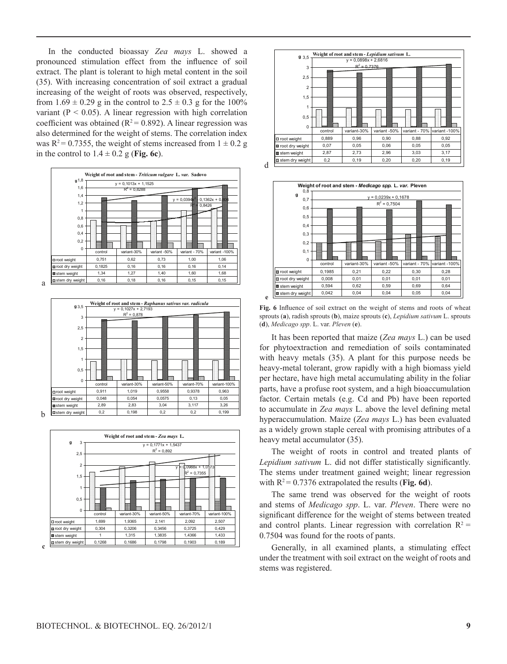In the conducted bioassay *Zea mays* L. showed a pronounced stimulation effect from the influence of soil extract. The plant is tolerant to high metal content in the soil (35). With increasing concentration of soil extract a gradual increasing of the weight of roots was observed, respectively, from  $1.69 \pm 0.29$  g in the control to  $2.5 \pm 0.3$  g for the 100% variant ( $P < 0.05$ ). A linear regression with high correlation coefficient was obtained ( $R^2$  = 0.892). A linear regression was also determined for the weight of stems. The correlation index was  $R^2 = 0.7355$ , the weight of stems increased from  $1 \pm 0.2$  g in the control to  $1.4 \pm 0.2$  g (Fig. 6c).



a

b

| Weight of root and stem - Raphanus sativus var. radicula<br>g3,5<br>$y = 0,1027x + 2,7193$ |               |             |             |                     |              |  |  |  |  |
|--------------------------------------------------------------------------------------------|---------------|-------------|-------------|---------------------|--------------|--|--|--|--|
| 3                                                                                          | $R^2 = 0.878$ |             |             |                     |              |  |  |  |  |
| 2,5                                                                                        |               |             |             |                     |              |  |  |  |  |
| $\overline{2}$                                                                             |               |             |             |                     |              |  |  |  |  |
| 1,5                                                                                        |               |             |             |                     |              |  |  |  |  |
| 1                                                                                          |               |             |             |                     |              |  |  |  |  |
| 0, 5                                                                                       |               | m           | ಣಾ          | R33<br><b>BARRA</b> |              |  |  |  |  |
| 0                                                                                          | control       | variant-30% | variant-50% | variant-70%         | variant-100% |  |  |  |  |
| not weight                                                                                 | 0,911         | 1,019       | 0,9558      | 0,9378              | 0,963        |  |  |  |  |
| ■ root dry weight                                                                          | 0,048         | 0,054       | 0,0575      | 0, 13               | 0,05         |  |  |  |  |
| ■ stem weight                                                                              | 2,89          | 2,83        | 3,04        | 3,117               | 3,26         |  |  |  |  |
| a stem dry weight                                                                          | 0,2           | 0,198       | 0,2         | 0,2                 | 0,199        |  |  |  |  |







**Fig. 6** Influence of soil extract on the weight of stems and roots of wheat sprouts (**a**), radish sprouts (**b**), maize sprouts (**c**), *Lepidium sativum* L. sprouts (**d**), *Medicago spp*. L. var. *Pleven* (**e**).

It has been reported that maize (*Zea mays* L.) can be used for phytoextraction and remediation of soils contaminated with heavy metals (35). A plant for this purpose needs be heavy-metal tolerant, grow rapidly with a high biomass yield per hectare, have high metal accumulating ability in the foliar parts, have a profuse root system, and a high bioaccumulation factor. Certain metals (e.g. Cd and Pb) have been reported to accumulate in *Zea mays* L. above the level defining metal hyperaccumulation. Maize (*Zea mays* L.) has been evaluated as a widely grown staple cereal with promising attributes of a heavy metal accumulator (35).

The weight of roots in control and treated plants of *Lepidium sativum* L. did not differ statistically significantly. The stems under treatment gained weight; linear regression with  $R^2 = 0.7376$  extrapolated the results (Fig. 6d).

The same trend was observed for the weight of roots and stems of *Medicago spp*. L. var. *Pleven*. There were no significant difference for the weight of stems between treated and control plants. Linear regression with correlation  $R^2$  = 0.7504 was found for the roots of pants.

Generally, in all examined plants, a stimulating effect under the treatment with soil extract on the weight of roots and stems was registered.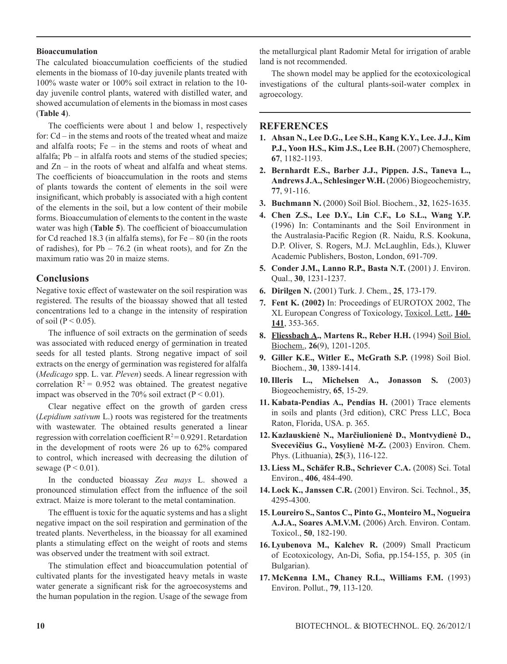#### **Bioaccumulation**

The calculated bioaccumulation coefficients of the studied elements in the biomass of 10-day juvenile plants treated with 100% waste water or 100% soil extract in relation to the 10 day juvenile control plants, watered with distilled water, and showed accumulation of elements in the biomass in most cases (**Table 4**).

The coefficients were about 1 and below 1, respectively for: Cd – in the stems and roots of the treated wheat and maize and alfalfa roots; Fe – in the stems and roots of wheat and alfalfa; Pb – in alfalfa roots and stems of the studied species; and Zn – in the roots of wheat and alfalfa and wheat stems. The coefficients of bioaccumulation in the roots and stems of plants towards the content of elements in the soil were insignificant, which probably is associated with a high content of the elements in the soil, but a low content of their mobile forms. Bioaccumulation of elements to the content in the waste water was high (**Table 5**). The coefficient of bioaccumulation for Cd reached 18.3 (in alfalfa stems), for Fe – 80 (in the roots of radishes), for  $Pb - 76.2$  (in wheat roots), and for Zn the maximum ratio was 20 in maize stems.

#### **Conclusions**

Negative toxic effect of wastewater on the soil respiration was registered. The results of the bioassay showed that all tested concentrations led to a change in the intensity of respiration of soil ( $P < 0.05$ ).

The influence of soil extracts on the germination of seeds was associated with reduced energy of germination in treated seeds for all tested plants. Strong negative impact of soil extracts on the energy of germination was registered for alfalfa (*Medicago* spp. L. var. *Pleven*) seeds. A linear regression with correlation  $R^2 = 0.952$  was obtained. The greatest negative impact was observed in the 70% soil extract ( $P < 0.01$ ).

Clear negative effect on the growth of garden cress (*Lepidium sativum* L.) roots was registered for the treatments with wastewater. The obtained results generated a linear regression with correlation coefficient  $R^2$  = 0.9291. Retardation in the development of roots were 26 up to 62% compared to control, which increased with decreasing the dilution of sewage ( $P < 0.01$ ).

In the conducted bioassay *Zea mays* L. showed a pronounced stimulation effect from the influence of the soil extract. Maize is more tolerant to the metal contamination.

The effluent is toxic for the aquatic systems and has a slight negative impact on the soil respiration and germination of the treated plants. Nevertheless, in the bioassay for all examined plants a stimulating effect on the weight of roots and stems was observed under the treatment with soil extract.

The stimulation effect and bioaccumulation potential of cultivated plants for the investigated heavy metals in waste water generate a significant risk for the agroecosystems and the human population in the region. Usage of the sewage from

the metallurgical plant Radomir Metal for irrigation of arable land is not recommended.

The shown model may be applied for the ecotoxicological investigations of the cultural plants-soil-water complex in agroecology.

#### **REFERENCES**

- **1. Ahsan N., Lee D.G., Lee S.H., Kang K.Y., Lee. J.J., Kim P.J., Yoon H.S., Kim J.S., Lee B.H.** (2007) Chemosphere, **67**, 1182-1193.
- **2. Bernhardt E.S., Barber J.J., Pippen. J.S., Taneva L., Andrews J.A., Schlesinger W.H.** (2006) Biogeochemistry, **77**, 91-116.
- **3. Buchmann N.** (2000) Soil Biol. Biochem., **32**, 1625-1635.
- **4. Chen Z.S., Lee D.Y., Lin C.F., Lo S.L., Wang Y.P.**  (1996) In: Contaminants and the Soil Environment in the Australasia-Pacific Region (R. Naidu, R.S. Kookuna, D.P. Oliver, S. Rogers, M.J. McLaughlin, Eds.), Kluwer Academic Publishers, Boston, London, 691-709.
- **5. Conder J.M., Lanno R.P., Basta N.T.** (2001) J. Environ. Qual., **30**, 1231-1237.
- **6. Dirilgen N.** (2001) Turk. J. Chem., **25**, 173-179.
- **7. Fent K. (2002)** In: Proceedings of EUROTOX 2002, The XL European Congress of Toxicology, Toxicol. Lett., **140- 141**, 353-365.
- **8. Fliessbach A., Martens R., Reber H.H.** (1994) Soil Biol. Biochem., **26**(9), 1201-1205.
- **9. Giller K.E., Witler E., McGrath S.P.** (1998) Soil Biol. Biochem., **30**, 1389-1414.
- **10.Illeris L., Michelsen A., Jonasson S.** (2003) Biogeochemistry, **65**, 15-29.
- **11. Kabata-Pendias A., Pendias H.** (2001) Trace elements in soils and plants (3rd edition), CRC Press LLC, Boca Raton, Florida, USA. p. 365.
- **12. Kazlauskienė N., Marčiulionienė D., Montvydienė D., Svecevičius G., Vosylienė M-Z.** (2003) Environ. Chem. Phys. (Lithuania), **25**(3), 116-122.
- **13. Liess M., Schäfer R.B., Schriever C.A.** (2008) Sci. Total Environ., **406**, 484-490.
- **14. Lock K., Janssen C.R.** (2001) Environ. Sci. Technol., **35**, 4295-4300.
- **15. Loureiro S., Santos C., Pinto G., Monteiro M., Nogueira A.J.A., Soares A.M.V.M.** (2006) Arch. Environ. Contam. Toxicol., **50**, 182-190.
- **16. Lyubenova M., Kalchev R.** (2009) Small Practicum of Ecotoxicology, An-Di, Sofia, pp.154-155, p. 305 (in Bulgarian).
- **17. McKenna I.M., Chaney R.L., Williams F.M.** (1993) Environ. Pollut., **79**, 113-120.